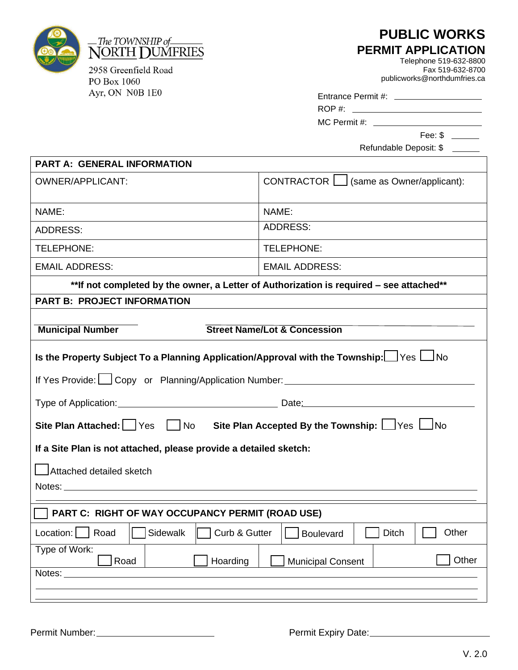

PO Box 1060 Ayr, ON N0B 1E0

## **PUBLIC WORKS PERMIT APPLICATION**

Telephone 519-632-8800 Fax 519-632-8700 publicworks@northdumfries.ca

| Entrance Permit #: |  |
|--------------------|--|
|--------------------|--|

| ROP#: |  |
|-------|--|
|       |  |

MC Permit #:

Fee: \$

Refundable Deposit: \$

| <b>PART A: GENERAL INFORMATION</b>                                                                                                                                                     |                                           |  |
|----------------------------------------------------------------------------------------------------------------------------------------------------------------------------------------|-------------------------------------------|--|
| <b>OWNER/APPLICANT:</b>                                                                                                                                                                | CONTRACTOR   (same as Owner/applicant):   |  |
| NAME:                                                                                                                                                                                  | NAME:                                     |  |
| <b>ADDRESS:</b>                                                                                                                                                                        | <b>ADDRESS:</b>                           |  |
| TELEPHONE:                                                                                                                                                                             | TELEPHONE:                                |  |
| <b>EMAIL ADDRESS:</b>                                                                                                                                                                  | <b>EMAIL ADDRESS:</b>                     |  |
| ** If not completed by the owner, a Letter of Authorization is required - see attached**                                                                                               |                                           |  |
| <b>PART B: PROJECT INFORMATION</b>                                                                                                                                                     |                                           |  |
| <b>Municipal Number</b>                                                                                                                                                                | <b>Street Name/Lot &amp; Concession</b>   |  |
| Is the Property Subject To a Planning Application/Approval with the Township: $\Box$ Yes $\Box$ No<br>If Yes Provide: Copy or Planning/Application Number: ___________________________ |                                           |  |
|                                                                                                                                                                                        |                                           |  |
| Site Plan Attached: Yes   No Site Plan Accepted By the Township: $\Box$ Yes $\Box$ No                                                                                                  |                                           |  |
| If a Site Plan is not attached, please provide a detailed sketch:                                                                                                                      |                                           |  |
| Attached detailed sketch                                                                                                                                                               |                                           |  |
| PART C: RIGHT OF WAY OCCUPANCY PERMIT (ROAD USE)                                                                                                                                       |                                           |  |
| Sidewalk<br>Curb & Gutter<br>Road<br>Location:                                                                                                                                         | Other<br><b>Boulevard</b><br><b>Ditch</b> |  |
| Type of Work:<br>Other<br>Road<br>Hoarding<br><b>Municipal Consent</b><br>Notes:                                                                                                       |                                           |  |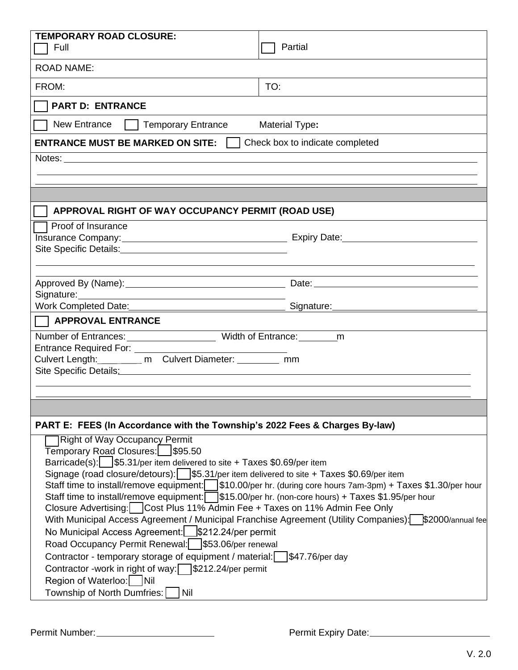| <b>TEMPORARY ROAD CLOSURE:</b>                                                                                                                                   |                                 |  |  |  |
|------------------------------------------------------------------------------------------------------------------------------------------------------------------|---------------------------------|--|--|--|
| Full                                                                                                                                                             | Partial                         |  |  |  |
| <b>ROAD NAME:</b>                                                                                                                                                |                                 |  |  |  |
| FROM:                                                                                                                                                            | TO:                             |  |  |  |
| <b>PART D: ENTRANCE</b>                                                                                                                                          |                                 |  |  |  |
| New Entrance<br>    Temporary Entrance                                                                                                                           | <b>Material Type:</b>           |  |  |  |
| <b>ENTRANCE MUST BE MARKED ON SITE:</b>                                                                                                                          | Check box to indicate completed |  |  |  |
|                                                                                                                                                                  |                                 |  |  |  |
|                                                                                                                                                                  |                                 |  |  |  |
|                                                                                                                                                                  |                                 |  |  |  |
| APPROVAL RIGHT OF WAY OCCUPANCY PERMIT (ROAD USE)                                                                                                                |                                 |  |  |  |
|                                                                                                                                                                  |                                 |  |  |  |
| Proof of Insurance                                                                                                                                               |                                 |  |  |  |
| Site Specific Details: Value of the Specific Details:                                                                                                            |                                 |  |  |  |
|                                                                                                                                                                  |                                 |  |  |  |
|                                                                                                                                                                  |                                 |  |  |  |
|                                                                                                                                                                  |                                 |  |  |  |
|                                                                                                                                                                  |                                 |  |  |  |
| <b>APPROVAL ENTRANCE</b>                                                                                                                                         |                                 |  |  |  |
|                                                                                                                                                                  |                                 |  |  |  |
| Entrance Required For: _________                                                                                                                                 |                                 |  |  |  |
| Culvert Length:__________ m Culvert Diameter: _________ mm                                                                                                       |                                 |  |  |  |
| Site Specific Details: Manual According to the Specific Details:                                                                                                 |                                 |  |  |  |
|                                                                                                                                                                  |                                 |  |  |  |
|                                                                                                                                                                  |                                 |  |  |  |
| PART E: FEES (In Accordance with the Township's 2022 Fees & Charges By-law)                                                                                      |                                 |  |  |  |
| <b>Right of Way Occupancy Permit</b>                                                                                                                             |                                 |  |  |  |
| Temporary Road Closures:   \$95.50                                                                                                                               |                                 |  |  |  |
| Barricade(s): \§5.31/per item delivered to site + Taxes \$0.69/per item                                                                                          |                                 |  |  |  |
| Signage (road closure/detours): \§5.31/per item delivered to site + Taxes \$0.69/per item                                                                        |                                 |  |  |  |
| Staff time to install/remove equipment: $\begin{bmatrix} \$10.00\text{/per} \text{hr} \end{bmatrix}$ (during core hours 7am-3pm) + Taxes \$1.30/per hour         |                                 |  |  |  |
| Staff time to install/remove equipment: \§15.00/per hr. (non-core hours) + Taxes \$1.95/per hour                                                                 |                                 |  |  |  |
| Closure Advertising:   Cost Plus 11% Admin Fee + Taxes on 11% Admin Fee Only                                                                                     |                                 |  |  |  |
| With Municipal Access Agreement / Municipal Franchise Agreement (Utility Companies): \$2000/annual fee<br>No Municipal Access Agreement: \[\]\$212.24/per permit |                                 |  |  |  |
| Road Occupancy Permit Renewal: \§53.06/per renewal                                                                                                               |                                 |  |  |  |
| Contractor - temporary storage of equipment / material:<br>\$47.76/per day                                                                                       |                                 |  |  |  |
| Contractor -work in right of way: \§212.24/per permit                                                                                                            |                                 |  |  |  |
| Region of Waterloo:     Nil                                                                                                                                      |                                 |  |  |  |
|                                                                                                                                                                  |                                 |  |  |  |

Permit Number: Number: 2008 Permit Expiry Date: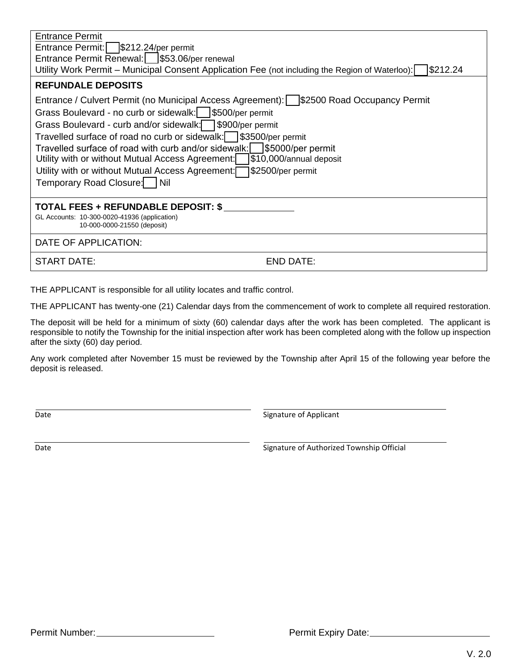| <b>Entrance Permit</b><br>Entrance Permit:<br>$$212.24/per$ permit<br>Entrance Permit Renewal:   \$53.06/per renewal<br>Utility Work Permit – Municipal Consent Application Fee (not including the Region of Waterloo):<br> \$212.24                                                                                                                                                                                                                                                                                                                                                             |  |  |
|--------------------------------------------------------------------------------------------------------------------------------------------------------------------------------------------------------------------------------------------------------------------------------------------------------------------------------------------------------------------------------------------------------------------------------------------------------------------------------------------------------------------------------------------------------------------------------------------------|--|--|
| <b>REFUNDALE DEPOSITS</b><br>Entrance / Culvert Permit (no Municipal Access Agreement):   \$2500 Road Occupancy Permit<br>Grass Boulevard - no curb or sidewalk:   \$500/per permit<br>Grass Boulevard - curb and/or sidewalk: \ \ \ \ \$900/per permit<br>Travelled surface of road no curb or sidewalk:   \$3500/per permit<br>Travelled surface of road with curb and/or sidewalk:   \$5000/per permit<br>Utility with or without Mutual Access Agreement:<br>\$10,000/annual deposit<br>S2500/per permit[<br>Utility with or without Mutual Access Agreement:<br>Temporary Road Closure: Nil |  |  |
| <b>TOTAL FEES + REFUNDABLE DEPOSIT: \$</b><br>GL Accounts: 10-300-0020-41936 (application)<br>10-000-0000-21550 (deposit)                                                                                                                                                                                                                                                                                                                                                                                                                                                                        |  |  |
| DATE OF APPLICATION:                                                                                                                                                                                                                                                                                                                                                                                                                                                                                                                                                                             |  |  |
| <b>START DATE:</b><br>END DATE:                                                                                                                                                                                                                                                                                                                                                                                                                                                                                                                                                                  |  |  |

THE APPLICANT is responsible for all utility locates and traffic control.

THE APPLICANT has twenty-one (21) Calendar days from the commencement of work to complete all required restoration.

The deposit will be held for a minimum of sixty (60) calendar days after the work has been completed. The applicant is responsible to notify the Township for the initial inspection after work has been completed along with the follow up inspection after the sixty (60) day period.

Any work completed after November 15 must be reviewed by the Township after April 15 of the following year before the deposit is released.

Date Signature of Applicant

Date **Signature of Authorized Township Official**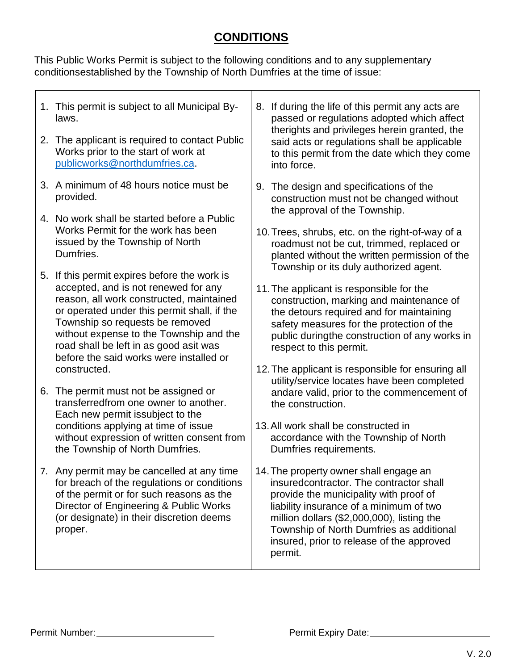## **CONDITIONS**

This Public Works Permit is subject to the following conditions and to any supplementary conditionsestablished by the Township of North Dumfries at the time of issue:

| 1. This permit is subject to all Municipal By-<br>laws.<br>2. The applicant is required to contact Public<br>Works prior to the start of work at<br>publicworks@northdumfries.ca.                                                                                                                                                                  | 8. | If during the life of this permit any acts are<br>passed or regulations adopted which affect<br>therights and privileges herein granted, the<br>said acts or regulations shall be applicable<br>to this permit from the date which they come<br>into force.                                                                                        |
|----------------------------------------------------------------------------------------------------------------------------------------------------------------------------------------------------------------------------------------------------------------------------------------------------------------------------------------------------|----|----------------------------------------------------------------------------------------------------------------------------------------------------------------------------------------------------------------------------------------------------------------------------------------------------------------------------------------------------|
| 3. A minimum of 48 hours notice must be<br>provided.                                                                                                                                                                                                                                                                                               | 9. | The design and specifications of the<br>construction must not be changed without<br>the approval of the Township.                                                                                                                                                                                                                                  |
| 4. No work shall be started before a Public<br>Works Permit for the work has been<br>issued by the Township of North<br>Dumfries.                                                                                                                                                                                                                  |    | 10. Trees, shrubs, etc. on the right-of-way of a<br>roadmust not be cut, trimmed, replaced or<br>planted without the written permission of the<br>Township or its duly authorized agent.                                                                                                                                                           |
| 5. If this permit expires before the work is<br>accepted, and is not renewed for any<br>reason, all work constructed, maintained<br>or operated under this permit shall, if the<br>Township so requests be removed<br>without expense to the Township and the<br>road shall be left in as good asit was<br>before the said works were installed or |    | 11. The applicant is responsible for the<br>construction, marking and maintenance of<br>the detours required and for maintaining<br>safety measures for the protection of the<br>public duringthe construction of any works in<br>respect to this permit.                                                                                          |
| constructed.<br>6. The permit must not be assigned or<br>transferredfrom one owner to another.<br>Each new permit is subject to the<br>conditions applying at time of issue<br>without expression of written consent from                                                                                                                          |    | 12. The applicant is responsible for ensuring all<br>utility/service locates have been completed<br>andare valid, prior to the commencement of<br>the construction.<br>13. All work shall be constructed in<br>accordance with the Township of North                                                                                               |
| the Township of North Dumfries.<br>7. Any permit may be cancelled at any time<br>for breach of the regulations or conditions<br>of the permit or for such reasons as the<br>Director of Engineering & Public Works<br>(or designate) in their discretion deems<br>proper.                                                                          |    | Dumfries requirements.<br>14. The property owner shall engage an<br>insuredcontractor. The contractor shall<br>provide the municipality with proof of<br>liability insurance of a minimum of two<br>million dollars (\$2,000,000), listing the<br>Township of North Dumfries as additional<br>insured, prior to release of the approved<br>permit. |